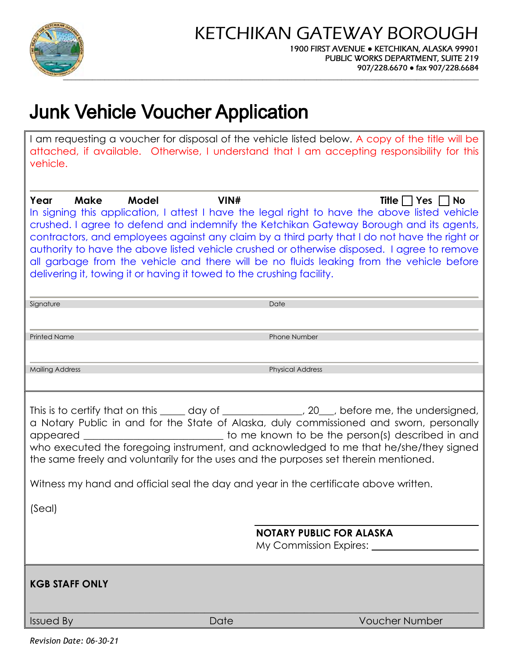

# **Junk Vehicle Voucher Application**

I am requesting a voucher for disposal of the vehicle listed below. A copy of the title will be attached, if available. Otherwise, I understand that I am accepting responsibility for this vehicle.

| Year<br>Model<br>VIN#<br>Make<br>Title $\Box$ Yes $\Box$ No<br>In signing this application, I attest I have the legal right to have the above listed vehicle<br>crushed. I agree to defend and indemnify the Ketchikan Gateway Borough and its agents,<br>contractors, and employees against any claim by a third party that I do not have the right or<br>authority to have the above listed vehicle crushed or otherwise disposed. I agree to remove<br>all garbage from the vehicle and there will be no fluids leaking from the vehicle before<br>delivering it, towing it or having it towed to the crushing facility. |  |      |                         |
|-----------------------------------------------------------------------------------------------------------------------------------------------------------------------------------------------------------------------------------------------------------------------------------------------------------------------------------------------------------------------------------------------------------------------------------------------------------------------------------------------------------------------------------------------------------------------------------------------------------------------------|--|------|-------------------------|
| Signature                                                                                                                                                                                                                                                                                                                                                                                                                                                                                                                                                                                                                   |  |      | Date                    |
| <b>Printed Name</b>                                                                                                                                                                                                                                                                                                                                                                                                                                                                                                                                                                                                         |  |      | Phone Number            |
| <b>Mailing Address</b>                                                                                                                                                                                                                                                                                                                                                                                                                                                                                                                                                                                                      |  |      | <b>Physical Address</b> |
| This is to certify that on this _____ day of _____________, 20__, before me, the undersigned,<br>a Notary Public in and for the State of Alaska, duly commissioned and sworn, personally<br>who executed the foregoing instrument, and acknowledged to me that he/she/they signed<br>the same freely and voluntarily for the uses and the purposes set therein mentioned.<br>Witness my hand and official seal the day and year in the certificate above written.<br>(Seal)<br><b>NOTARY PUBLIC FOR ALASKA</b><br>My Commission Expires:                                                                                    |  |      |                         |
| <b>KGB STAFF ONLY</b>                                                                                                                                                                                                                                                                                                                                                                                                                                                                                                                                                                                                       |  |      |                         |
| <b>Issued By</b>                                                                                                                                                                                                                                                                                                                                                                                                                                                                                                                                                                                                            |  | Date | <b>Voucher Number</b>   |

*Revision Date: 06-30-21*